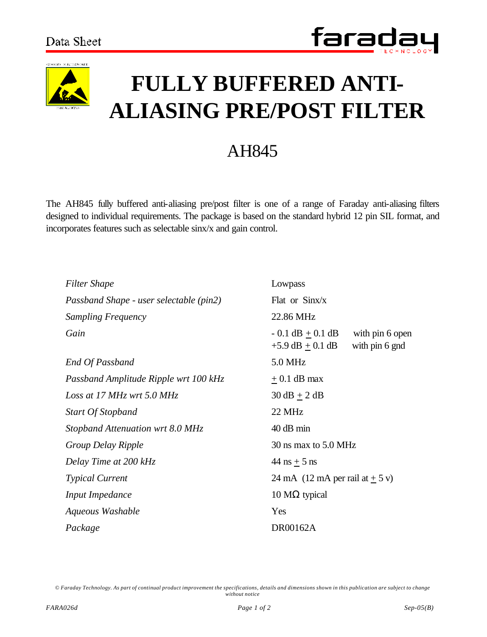



## **FULLY BUFFERED ANTI-ALIASING PRE/POST FILTER**

## AH845

The AH845 fully buffered anti-aliasing pre/post filter is one of a range of Faraday anti-aliasing filters designed to individual requirements. The package is based on the standard hybrid 12 pin SIL format, and incorporates features such as selectable sinx/x and gain control.

| Filter Shape                            | Lowpass                                                                            |
|-----------------------------------------|------------------------------------------------------------------------------------|
| Passband Shape - user selectable (pin2) | Flat or Sinx/x                                                                     |
| Sampling Frequency                      | 22.86 MHz                                                                          |
| Gain                                    | $-0.1$ dB $+0.1$ dB<br>with pin 6 open<br>$+5.9$ dB $\pm$ 0.1 dB<br>with pin 6 gnd |
| End Of Passband                         | 5.0 MHz                                                                            |
| Passband Amplitude Ripple wrt 100 kHz   | $\pm$ 0.1 dB max                                                                   |
| Loss at 17 MHz wrt 5.0 MHz              | $30 \text{ dB} + 2 \text{ dB}$                                                     |
| <b>Start Of Stopband</b>                | 22 MHz                                                                             |
| Stopband Attenuation wrt 8.0 MHz        | 40 dB min                                                                          |
| Group Delay Ripple                      | 30 ns max to 5.0 MHz                                                               |
| Delay Time at 200 kHz                   | 44 ns $+$ 5 ns                                                                     |
| <b>Typical Current</b>                  | 24 mA $(12 \text{ mA per rail at} \pm 5 \text{ v})$                                |
| <b>Input Impedance</b>                  | 10 $M\Omega$ typical                                                               |
| Aqueous Washable                        | Yes                                                                                |
| Package                                 | DR00162A                                                                           |

*© Faraday Technology. As part of continual product improvement the specifications, details and dimensions shown in this publication are subject to change without notice*